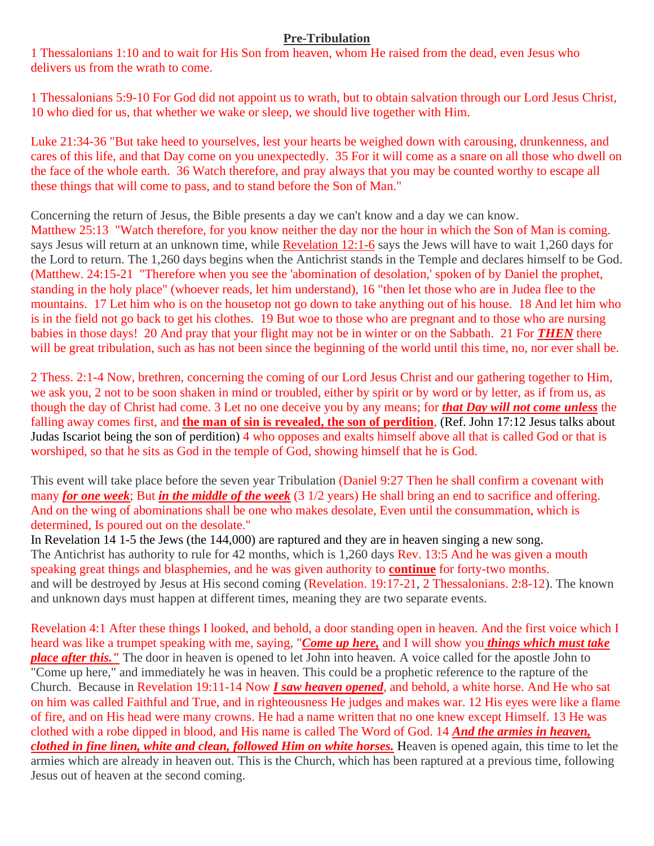## **Pre-Tribulation**

1 Thessalonians 1:10 and to wait for His Son from heaven, whom He raised from the dead, even Jesus who delivers us from the wrath to come.

1 Thessalonians 5:9-10 For God did not appoint us to wrath, but to obtain salvation through our Lord Jesus Christ, 10 who died for us, that whether we wake or sleep, we should live together with Him.

Luke 21:34-36 "But take heed to yourselves, lest your hearts be weighed down with carousing, drunkenness, and cares of this life, and that Day come on you unexpectedly. 35 For it will come as a snare on all those who dwell on the face of the whole earth. 36 Watch therefore, and pray always that you may be counted worthy to escape all these things that will come to pass, and to stand before the Son of Man."

Concerning the return of Jesus, the Bible presents a day we can't know and a day we can know.

[Matthew 25:13](http://biblia.com/bible/kjv1900/Matthew%2025.13) "Watch therefore, for you know neither the day nor the hour in which the Son of Man is coming. says Jesus will return at an unknown time, while [Revelation 12:1](http://biblia.com/bible/kjv1900/Revelation%2012.6)-6 says the Jews will have to wait 1,260 days for the Lord to return. The 1,260 days begins when the Antichrist stands in the Temple and declares himself to be God. [\(Matthew. 24:15-21](http://biblia.com/bible/kjv1900/Matt.%2024.15-21) "Therefore when you see the 'abomination of desolation,' spoken of by Daniel the prophet, standing in the holy place" (whoever reads, let him understand), 16 "then let those who are in Judea flee to the mountains. 17 Let him who is on the housetop not go down to take anything out of his house. 18 And let him who is in the field not go back to get his clothes. 19 But woe to those who are pregnant and to those who are nursing babies in those days! 20 And pray that your flight may not be in winter or on the Sabbath. 21 For *THEN* there will be great tribulation, such as has not been since the beginning of the world until this time, no, nor ever shall be.

2 Thess. 2:1-4 Now, brethren, concerning the coming of our Lord Jesus Christ and our gathering together to Him, we ask you, 2 not to be soon shaken in mind or troubled, either by spirit or by word or by letter, as if from us, as though the day of Christ had come. 3 Let no one deceive you by any means; for *that Day will not come unless* the falling away comes first, and **the man of sin is revealed, the son of perdition**, (Ref. John 17:12 Jesus talks about Judas Iscariot being the son of perdition) 4 who opposes and exalts himself above all that is called God or that is worshiped, so that he sits as God in the temple of God, showing himself that he is God.

This event will take place before the seven year Tribulation [\(Daniel](http://biblia.com/bible/kjv1900/Dan%209.27) 9:27 Then he shall confirm a covenant with many *for one week*; But *in the middle of the week* (3 1/2 years) He shall bring an end to sacrifice and offering. And on the wing of abominations shall be one who makes desolate, Even until the consummation, which is determined, Is poured out on the desolate."

In Revelation 14 1-5 the Jews (the 144,000) are raptured and they are in heaven singing a new song. The Antichrist has authority to rule for 42 months, which is 1,260 days Rev. 13:5 And he was given a mouth speaking great things and blasphemies, and he was given authority to **continue** for forty-two months. and will be destroyed by Jesus at His second coming (Revelation. 19:17-21, [2 Thessalonians. 2:8-](http://biblia.com/bible/kjv1900/2%20Thess.%202.8)12). The known and unknown days must happen at different times, meaning they are two separate events.

Revelation 4:1 After these things I looked, and behold, a door standing open in heaven. And the first voice which I heard was like a trumpet speaking with me, saying, "*Come up here,* and I will show you *things which must take place after this.* " The door in heaven is opened to let John into heaven. A voice called for the apostle John to "Come up here," and immediately he was in heaven. This could be a prophetic reference to the rapture of the Church. Because in [Revelation 19:11-](http://biblia.com/bible/kjv1900/Revelation%2019.11)14 Now *I saw heaven opened*, and behold, a white horse. And He who sat on him was called Faithful and True, and in righteousness He judges and makes war. 12 His eyes were like a flame of fire, and on His head were many crowns. He had a name written that no one knew except Himself. 13 He was clothed with a robe dipped in blood, and His name is called The Word of God. 14 *And the armies in heaven, clothed in fine linen, white and clean, followed Him on white horses.* Heaven is opened again, this time to let the armies which are already in heaven out. This is the Church, which has been raptured at a previous time, following Jesus out of heaven at the second coming.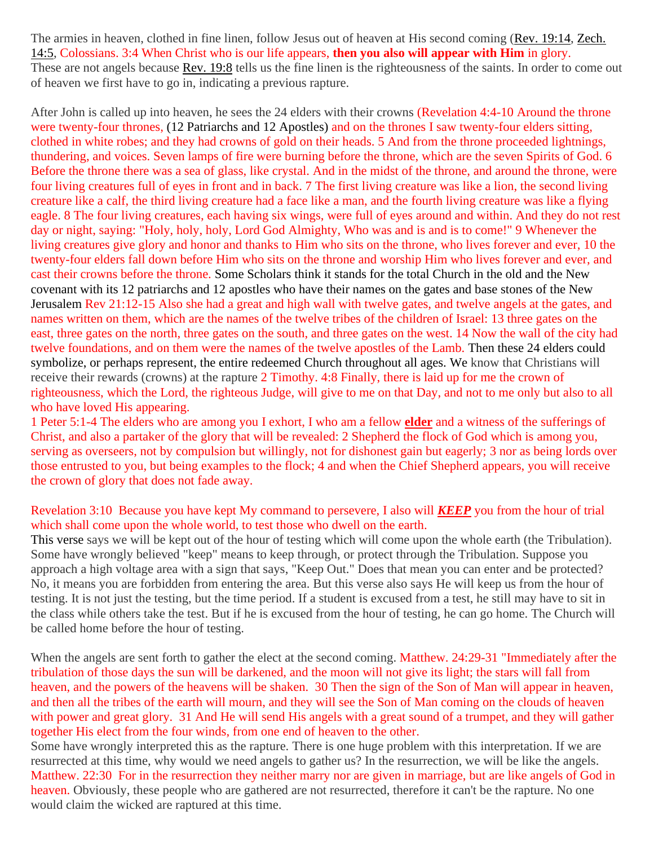The armies in heaven, clothed in fine linen, follow Jesus out of heaven at His second coming [\(Rev. 19:14,](http://biblia.com/bible/kjv1900/Rev.%2019.14) [Zech.](http://biblia.com/bible/kjv1900/Zech.%2014.5)  [14:5,](http://biblia.com/bible/kjv1900/Zech.%2014.5) [Colossians. 3:4](http://biblia.com/bible/kjv1900/Col.%203.4) When Christ who is our life appears, **then you also will appear with Him** in glory. These are not angels because [Rev. 19:8](http://biblia.com/bible/kjv1900/Rev.%2019.8) tells us the fine linen is the righteousness of the saints. In order to come out of heaven we first have to go in, indicating a previous rapture.

After John is called up into heaven, he sees the 24 elders with their crowns [\(Revelation](http://biblia.com/bible/kjv1900/Rev.%204.4-10) 4:4-10 Around the throne were twenty-four thrones, (12 Patriarchs and 12 Apostles) and on the thrones I saw twenty-four elders sitting, clothed in white robes; and they had crowns of gold on their heads. 5 And from the throne proceeded lightnings, thundering, and voices. Seven lamps of fire were burning before the throne, which are the seven Spirits of God. 6 Before the throne there was a sea of glass, like crystal. And in the midst of the throne, and around the throne, were four living creatures full of eyes in front and in back. 7 The first living creature was like a lion, the second living creature like a calf, the third living creature had a face like a man, and the fourth living creature was like a flying eagle. 8 The four living creatures, each having six wings, were full of eyes around and within. And they do not rest day or night, saying: "Holy, holy, holy, Lord God Almighty, Who was and is and is to come!" 9 Whenever the living creatures give glory and honor and thanks to Him who sits on the throne, who lives forever and ever, 10 the twenty-four elders fall down before Him who sits on the throne and worship Him who lives forever and ever, and cast their crowns before the throne. Some Scholars think it stands for the total Church in the old and the New covenant with its 12 patriarchs and 12 apostles who have their names on the gates and base stones of the New Jerusalem Rev 21:12-15 Also she had a great and high wall with twelve gates, and twelve angels at the gates, and names written on them, which are the names of the twelve tribes of the children of Israel: 13 three gates on the east, three gates on the north, three gates on the south, and three gates on the west. 14 Now the wall of the city had twelve foundations, and on them were the names of the twelve apostles of the Lamb. Then these 24 elders could symbolize, or perhaps represent, the entire redeemed Church throughout all ages. We know that Christians will receive their rewards (crowns) at the rapture [2 Timothy.](http://biblia.com/bible/kjv1900/2%20Tim.%204.8) 4:8 Finally, there is laid up for me the crown of righteousness, which the Lord, the righteous Judge, will give to me on that Day, and not to me only but also to all who have loved His appearing.

1 Peter 5:1-4 The elders who are among you I exhort, I who am a fellow **elder** and a witness of the sufferings of Christ, and also a partaker of the glory that will be revealed: 2 Shepherd the flock of God which is among you, serving as overseers, not by compulsion but willingly, not for dishonest gain but eagerly; 3 nor as being lords over those entrusted to you, but being examples to the flock; 4 and when the Chief Shepherd appears, you will receive the crown of glory that does not fade away.

## [Revelation 3:10](http://biblia.com/bible/kjv1900/Revelation%203.10) Because you have kept My command to persevere, I also will *KEEP* you from the hour of trial which shall come upon the whole world, to test those who dwell on the earth.

This verse says we will be kept out of the hour of testing which will come upon the whole earth (the Tribulation). Some have wrongly believed "keep" means to keep through, or protect through the Tribulation. Suppose you approach a high voltage area with a sign that says, "Keep Out." Does that mean you can enter and be protected? No, it means you are forbidden from entering the area. But this verse also says He will keep us from the hour of testing. It is not just the testing, but the time period. If a student is excused from a test, he still may have to sit in the class while others take the test. But if he is excused from the hour of testing, he can go home. The Church will be called home before the hour of testing.

When the angels are sent forth to gather the elect at the second coming. [Matthew. 24:29-31](http://biblia.com/bible/kjv1900/Matt.%2024.29-31) "Immediately after the tribulation of those days the sun will be darkened, and the moon will not give its light; the stars will fall from heaven, and the powers of the heavens will be shaken. 30 Then the sign of the Son of Man will appear in heaven, and then all the tribes of the earth will mourn, and they will see the Son of Man coming on the clouds of heaven with power and great glory. 31 And He will send His angels with a great sound of a trumpet, and they will gather together His elect from the four winds, from one end of heaven to the other.

Some have wrongly interpreted this as the rapture. There is one huge problem with this interpretation. If we are resurrected at this time, why would we need angels to gather us? In the resurrection, we will be like the angels. [Matthew. 22:30](http://biblia.com/bible/kjv1900/Matt.%2022.30) For in the resurrection they neither marry nor are given in marriage, but are like angels of God in heaven. Obviously, these people who are gathered are not resurrected, therefore it can't be the rapture. No one would claim the wicked are raptured at this time.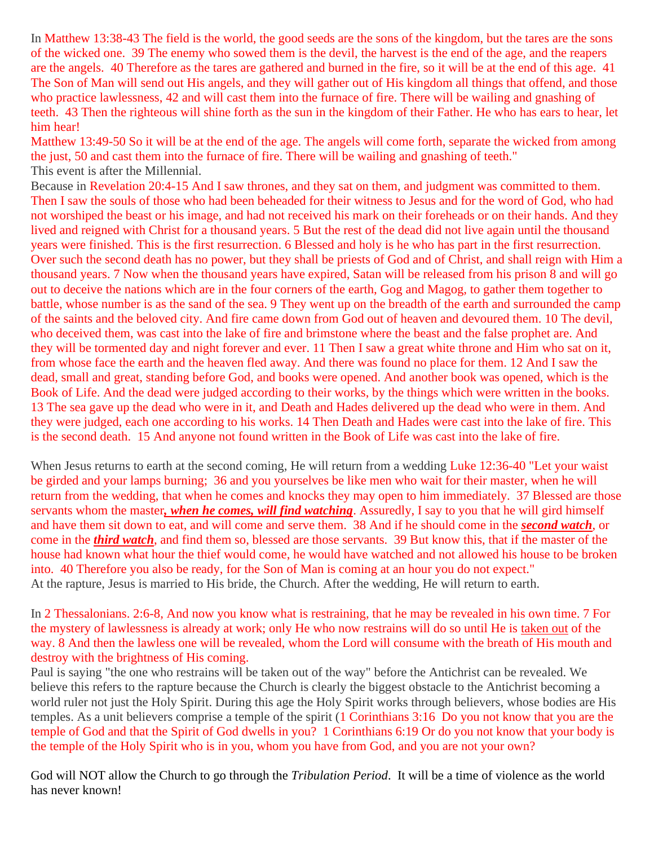In Matthew 13:38-43 The field is the world, the good seeds are the sons of the kingdom, but the tares are the sons of the wicked one. 39 The enemy who sowed them is the devil, the harvest is the end of the age, and the reapers are the angels. 40 Therefore as the tares are gathered and burned in the fire, so it will be at the end of this age. 41 The Son of Man will send out His angels, and they will gather out of His kingdom all things that offend, and those who practice lawlessness, 42 and will cast them into the furnace of fire. There will be wailing and gnashing of teeth. 43 Then the righteous will shine forth as the sun in the kingdom of their Father. He who has ears to hear, let him hear!

Matthew 13:49-50 So it will be at the end of the age. The angels will come forth, separate the wicked from among the just, 50 and cast them into the furnace of fire. There will be wailing and gnashing of teeth." This event is after the Millennial.

Because in Revelation 20:4-15 And I saw thrones, and they sat on them, and judgment was committed to them. Then I saw the souls of those who had been beheaded for their witness to Jesus and for the word of God, who had not worshiped the beast or his image, and had not received his mark on their foreheads or on their hands. And they lived and reigned with Christ for a thousand years. 5 But the rest of the dead did not live again until the thousand years were finished. This is the first resurrection. 6 Blessed and holy is he who has part in the first resurrection. Over such the second death has no power, but they shall be priests of God and of Christ, and shall reign with Him a thousand years. 7 Now when the thousand years have expired, Satan will be released from his prison 8 and will go out to deceive the nations which are in the four corners of the earth, Gog and Magog, to gather them together to battle, whose number is as the sand of the sea. 9 They went up on the breadth of the earth and surrounded the camp of the saints and the beloved city. And fire came down from God out of heaven and devoured them. 10 The devil, who deceived them, was cast into the lake of fire and brimstone where the beast and the false prophet are. And they will be tormented day and night forever and ever. 11 Then I saw a great white throne and Him who sat on it, from whose face the earth and the heaven fled away. And there was found no place for them. 12 And I saw the dead, small and great, standing before God, and books were opened. And another book was opened, which is the Book of Life. And the dead were judged according to their works, by the things which were written in the books. 13 The sea gave up the dead who were in it, and Death and Hades delivered up the dead who were in them. And they were judged, each one according to his works. 14 Then Death and Hades were cast into the lake of fire. This is the second death. 15 And anyone not found written in the Book of Life was cast into the lake of fire.

When Jesus returns to earth at the second coming, He will return from a wedding [Luke 12:36-](http://biblia.com/bible/kjv1900/Luke%2012.36)40 "Let your waist be girded and your lamps burning; 36 and you yourselves be like men who wait for their master, when he will return from the wedding, that when he comes and knocks they may open to him immediately. 37 Blessed are those servants whom the master*, when he comes, will find watching*. Assuredly, I say to you that he will gird himself and have them sit down to eat, and will come and serve them. 38 And if he should come in the *second watch*, or come in the *third watch*, and find them so, blessed are those servants. 39 But know this, that if the master of the house had known what hour the thief would come, he would have watched and not allowed his house to be broken into. 40 Therefore you also be ready, for the Son of Man is coming at an hour you do not expect." At the rapture, Jesus is married to His bride, the Church. After the wedding, He will return to earth.

In 2 Thessalonians. 2:6-8, And now you know what is restraining, that he may be revealed in his own time. 7 For the mystery of lawlessness is already at work; only He who now restrains will do so until He is taken out of the way. 8 And then the lawless one will be revealed, whom the Lord will consume with the breath of His mouth and destroy with the brightness of His coming.

Paul is saying "the one who restrains will be taken out of the way" before the Antichrist can be revealed. We believe this refers to the rapture because the Church is clearly the biggest obstacle to the Antichrist becoming a world ruler not just the Holy Spirit. During this age the Holy Spirit works through believers, whose bodies are His temples. As a unit believers comprise a temple of the spirit (1 Corinthians 3:16 Do you not know that you are the temple of God and that the Spirit of God dwells in you? 1 Corinthians 6:19 Or do you not know that your body is the temple of the Holy Spirit who is in you, whom you have from God, and you are not your own?

God will NOT allow the Church to go through the *Tribulation Period*. It will be a time of violence as the world has never known!